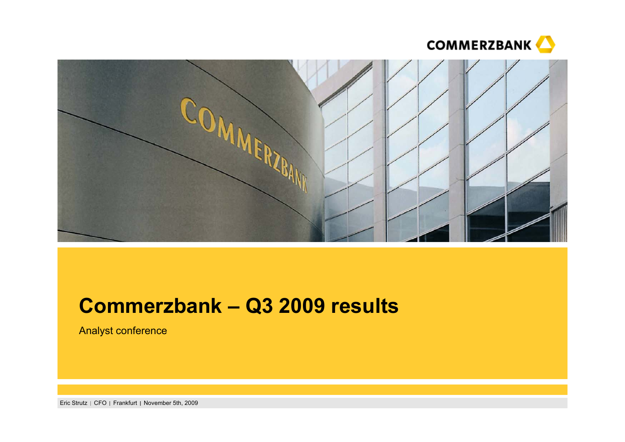



# **Commerzbank – Q3 2009 results**

Analyst conference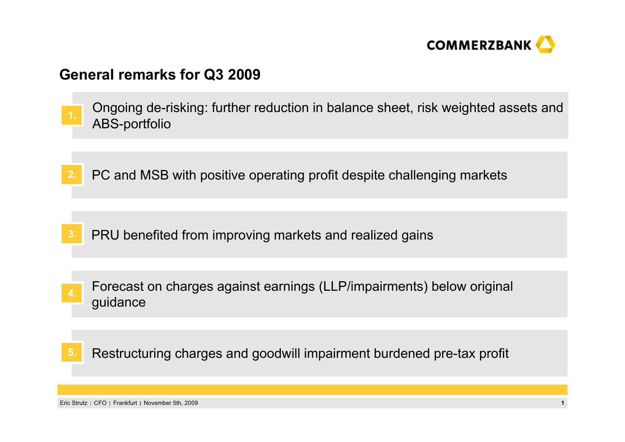

### **General remarks for Q3 2009**

- Ongoing de-risking: further reduction in balance sheet, risk weighted assets and ABS-portfolio **1.**
- **2.**PC and MSB with positive operating profit despite challenging markets

- **3.**PRU benefited from improving markets and realized gains
- Forecast on charges against earnings (LLP/impairments) below original guidance **4.**
- Restructuring charges and goodwill impairment burdened pre-tax profit **5.**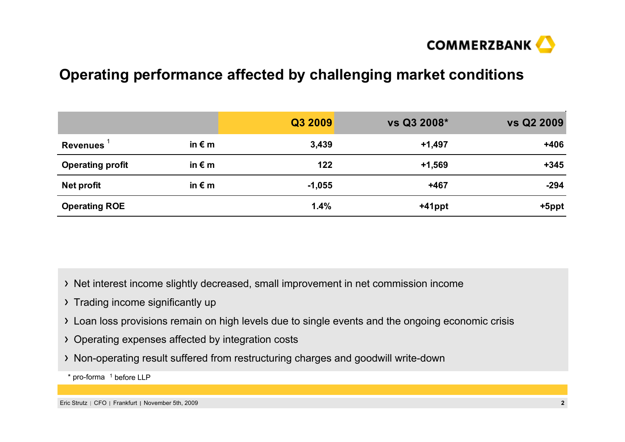

## **Operating performance affected by challenging market conditions**

|                         |                 | Q3 2009  | vs Q3 2008* | <b>vs Q2 2009</b> |
|-------------------------|-----------------|----------|-------------|-------------------|
| <b>Revenues</b>         | in $\epsilon$ m | 3,439    | $+1,497$    | $+406$            |
| <b>Operating profit</b> | in $\epsilon$ m | 122      | $+1,569$    | $+345$            |
| Net profit              | in $\epsilon$ m | $-1,055$ | +467        | $-294$            |
| <b>Operating ROE</b>    |                 | 1.4%     | $+41$ ppt   | +5ppt             |

> Net interest income slightly decreased, small improvement in net commission income

- > Trading income significantly up
- Loan loss provisions remain on high levels due to single events and the ongoing economic crisis
- Operating expenses affected by integration costs
- Non-operating result suffered from restructuring charges and goodwill write-down
- \* pro-forma <sup>1</sup> before LLP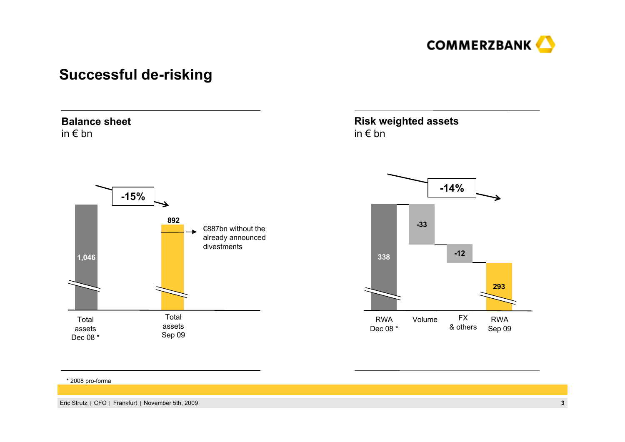

## **Successful de-risking**

### **Balance sheet**in € bn



### **Risk weighted assets** in € bn



#### \* 2008 pro-forma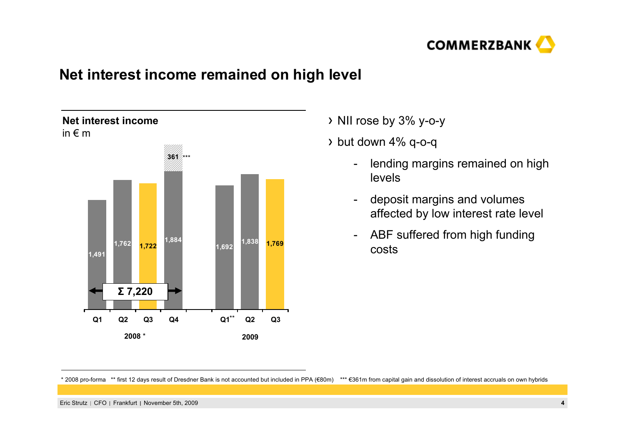

### **Net interest income remained on high level**



NII rose by 3% y-o-y

 $\rightarrow$  but down 4% q-o-q

- lending margins remained on high levels
- deposit margins and volumes affected by low interest rate level
- - ABF suffered from high funding costs

<sup>\* 2008</sup> pro-forma \*\* first 12 days result of Dresdner Bank is not accounted but included in PPA (€80m) \*\*\* €361m from capital gain and dissolution of interest accruals on own hybrids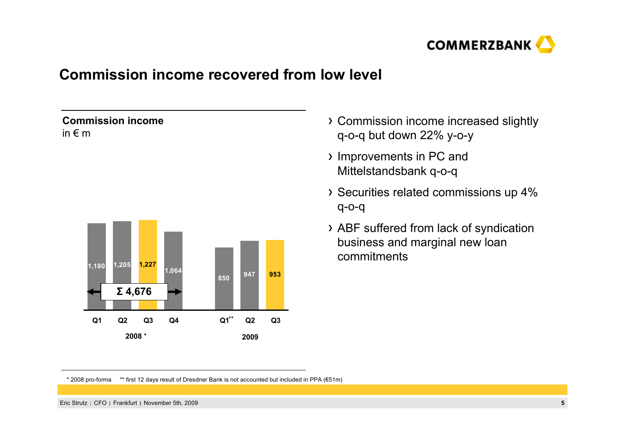

## **Commission income recovered from low level**

### **Commission income**in € m



- Commission income increased slightly q-o-q but down 22% y-o-y
- Improvements in PC and Mittelstandsbank q-o-q
- Securities related commissions up 4% q-o-q
- ABF suffered from lack of syndication business and marginal new loan commitments

\* 2008 pro-forma \*\* first 12 days result of Dresdner Bank is not accounted but included in PPA (€51m)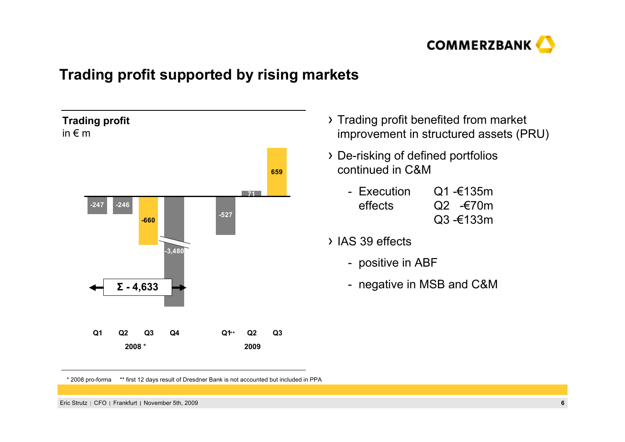

## **Trading profit supported by rising markets**



- > Trading profit benefited from market improvement in structured assets (PRU)
- De-risking of defined portfolios continued in C&M
	- Execution  $Q1 - 6135m$ effects Q2 -€70m Q3 -€133m
- IAS 39 effects
	- positive in ABF
	- negative in MSB and C&M

<sup>\* 2008</sup> pro-forma \*\* first 12 days result of Dresdner Bank is not accounted but included in PPA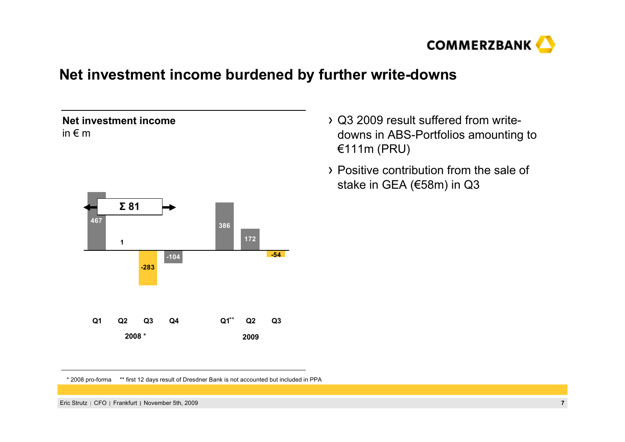

## **Net investment income burdened by further write-downs**



- Q3 2009 result suffered from writedowns in ABS-Portfolios amounting to €111m (PRU)
- Positive contribution from the sale of stake in GEA (€58m) in Q3

\* 2008 pro-forma \*\* first 12 days result of Dresdner Bank is not accounted but included in PPA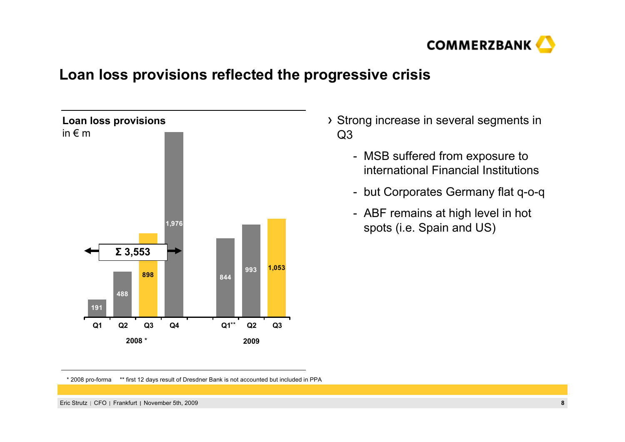

## **Loan loss provisions reflected the progressive crisis**



- Strong increase in several segments in Q3
	- MSB suffered from exposure to international Financial Institutions
	- but Corporates Germany flat q-o-q
	- ABF remains at high level in hot spots (i.e. Spain and US)

<sup>\* 2008</sup> pro-forma \*\* first 12 days result of Dresdner Bank is not accounted but included in PPA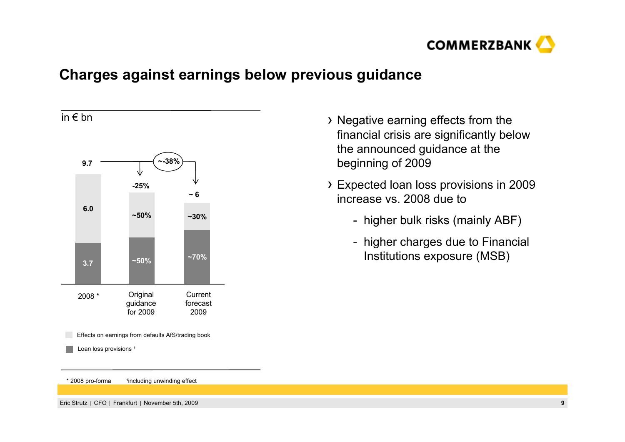

## **Charges against earnings below previous guidance**



- Negative earning effects from the financial crisis are significantly below the announced guidance at the beginning of 2009
- Expected loan loss provisions in 2009 increase vs. 2008 due to
	- higher bulk risks (mainly ABF)
	- higher charges due to Financial Institutions exposure (MSB)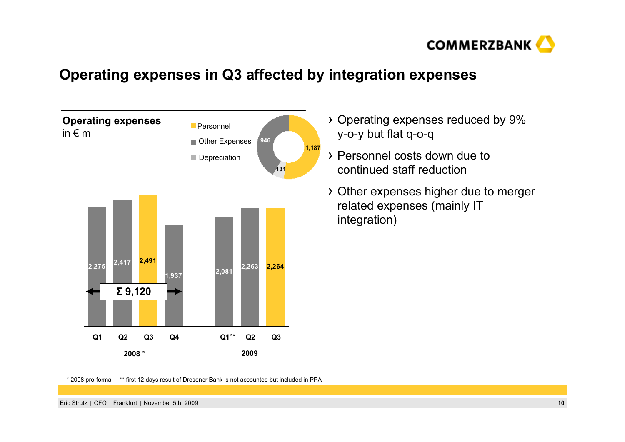

## **Operating expenses in Q3 affected by integration expenses**



- Operating expenses reduced by 9% y-o-y but flat q-o-q
- Personnel costs down due to continued staff reduction
- Other expenses higher due to merger related expenses (mainly IT integration)

<sup>\* 2008</sup> pro-forma \*\* first 12 days result of Dresdner Bank is not accounted but included in PPA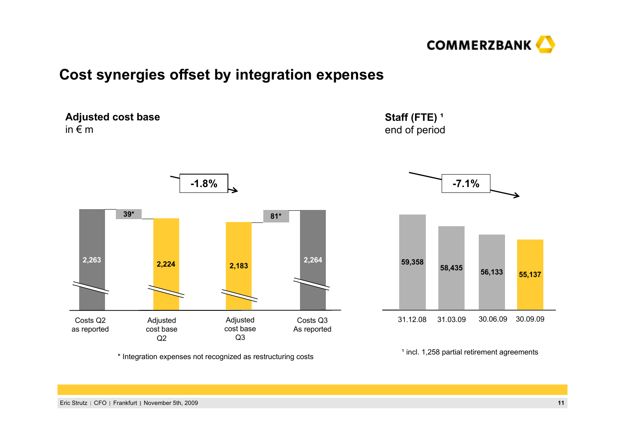

## **Cost synergies offset by integration expenses**

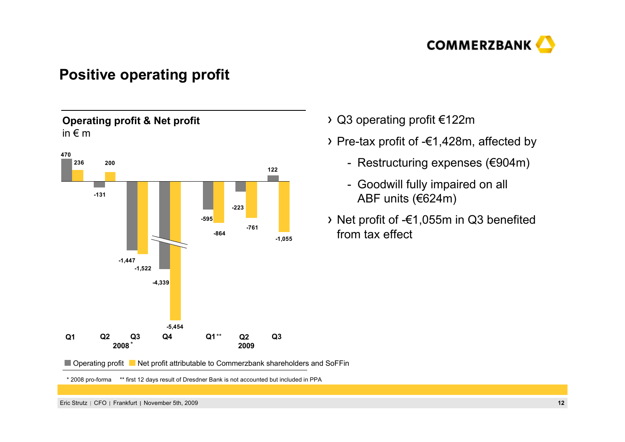

## **Positive operating profit**

### **Operating profit & Net profit** in  $\epsilon$  m



### Q3 operating profit €122m

- Pre-tax profit of -€1,428m, affected by
	- Restructuring expenses (€904m)
	- Goodwill fully impaired on all ABF units (€624m)
- Net profit of -€1,055m in Q3 benefited from tax effect

■ Operating profit ■ Net profit attributable to Commerzbank shareholders and SoFFin

\* 2008 pro-forma \*\* first 12 days result of Dresdner Bank is not accounted but included in PPA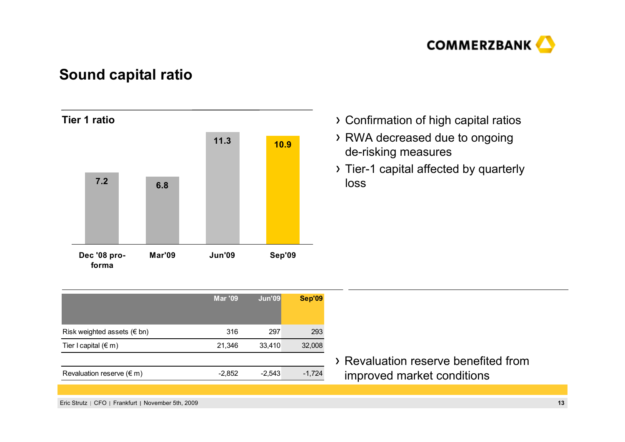

## **Sound capital ratio**



- Confirmation of high capital ratios
- RWA decreased due to ongoing de-risking measures
- Tier-1 capital affected by quarterly loss

|                                     | <b>Mar '09</b> | <b>Jun'09</b> | <b>Sep'09</b> |
|-------------------------------------|----------------|---------------|---------------|
| Risk weighted assets ( $\notin$ bn) | 316            | 297           | 293           |
| Tier I capital $(\epsilon m)$       | 21,346         | 33,410        | 32,008        |
|                                     |                |               |               |
| Revaluation reserve $(\epsilon m)$  | $-2,852$       | $-2,543$      | $-1,724$      |
|                                     |                |               |               |

Revaluation reserve benefited from improved market conditions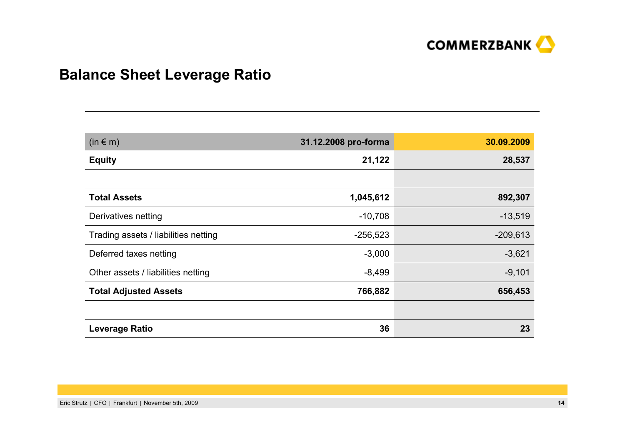

## **Balance Sheet Leverage Ratio**

| $(in \in m)$                         | 31.12.2008 pro-forma | 30.09.2009 |
|--------------------------------------|----------------------|------------|
| <b>Equity</b>                        | 21,122               | 28,537     |
|                                      |                      |            |
| <b>Total Assets</b>                  | 1,045,612            | 892,307    |
| Derivatives netting                  | $-10,708$            | $-13,519$  |
| Trading assets / liabilities netting | $-256,523$           | $-209,613$ |
| Deferred taxes netting               | $-3,000$             | $-3,621$   |
| Other assets / liabilities netting   | $-8,499$             | $-9,101$   |
| <b>Total Adjusted Assets</b>         | 766,882              | 656,453    |
|                                      |                      |            |
| <b>Leverage Ratio</b>                | 36                   | 23         |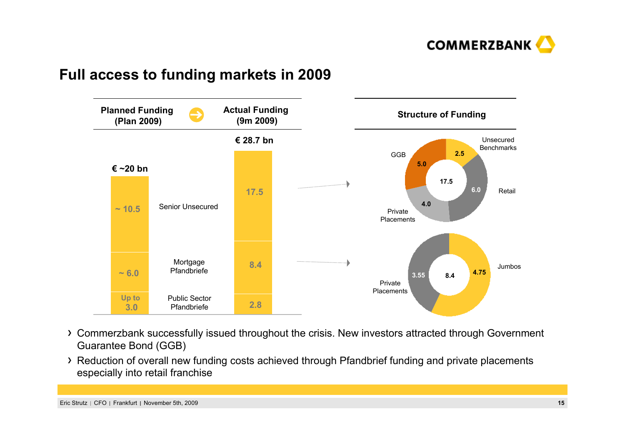

## **Full access to funding markets in 2009**



- Commerzbank successfully issued throughout the crisis. New investors attracted through Government Guarantee Bond (GGB)
- Reduction of overall new funding costs achieved through Pfandbrief funding and private placements especially into retail franchise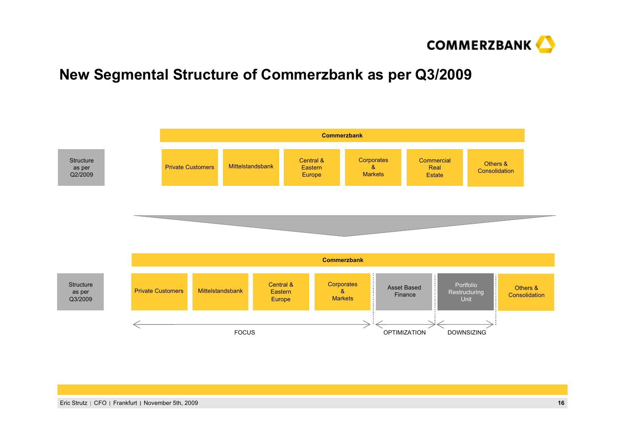

## **New Segmental Structure of Commerzbank as per Q3/2009**

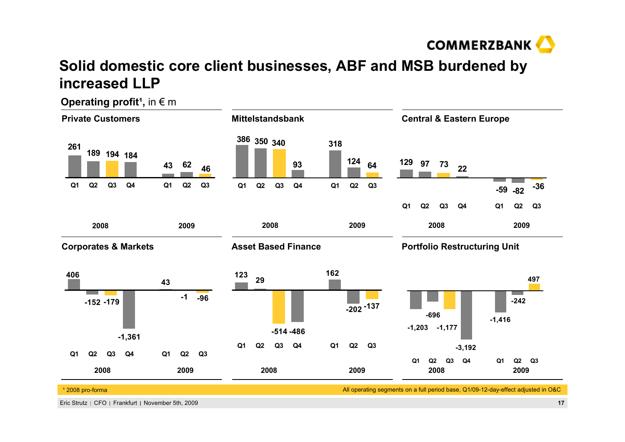

## **Solid domestic core client businesses, ABF and MSB burdened by increased LLP**



**Operating profit<sup>1</sup>, in € m**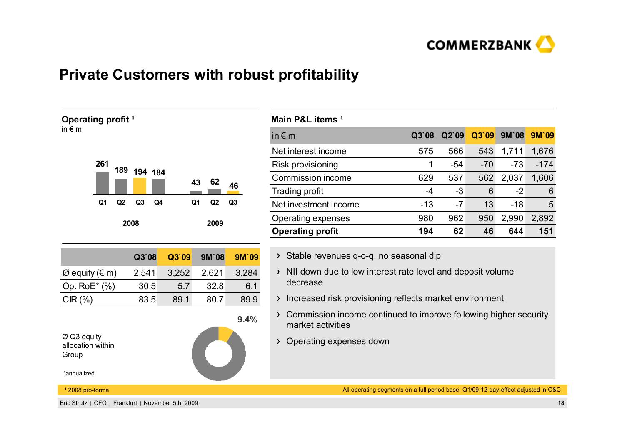

## **Private Customers with robust profitability**



| Main P&L items <sup>1</sup> |       |       |       |              |        |
|-----------------------------|-------|-------|-------|--------------|--------|
| in $\notin$ m               | Q3`08 | Q2'09 | Q3`09 | <b>9M'08</b> | 9M'09  |
| Net interest income         | 575   | 566   | 543   | 1,711        | 1,676  |
| Risk provisioning           |       | $-54$ | $-70$ | $-73$        | $-174$ |
| Commission income           | 629   | 537   | 562   | 2,037        | 1,606  |
| Trading profit              | -4    | $-3$  | 6     | $-2$         | 6      |
| Net investment income       | $-13$ | $-7$  | 13    | $-18$        | 5      |
| Operating expenses          | 980   | 962   | 950   | 2,990        | 2,892  |
| <b>Operating profit</b>     | 194   | 62    | 46    | 644          | 151    |

- > Stable revenues q-o-q, no seasonal dip
- $\rightarrow$  NII down due to low interest rate level and deposit volume decrease
- > Increased risk provisioning reflects market environment
- Commission income continued to improve following higher security market activities
- Operating expenses down

All operating segments on a full period base, Q1/09-12-day-effect adjusted in O&C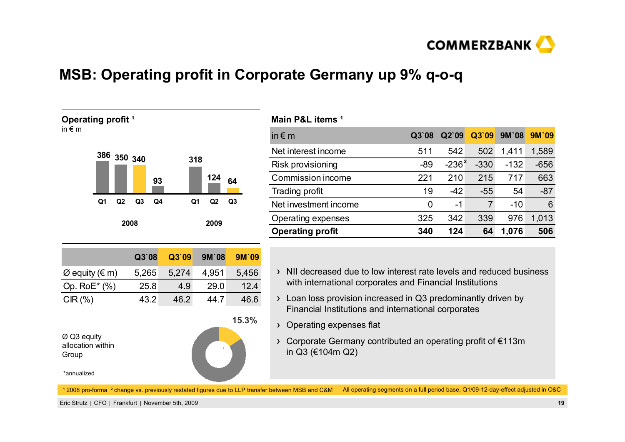

## **MSB: Operating profit in Corporate Germany up 9% q-o-q**



| Main P&L items <sup>1</sup> |       |          |        |              |        |
|-----------------------------|-------|----------|--------|--------------|--------|
| in $\notin$ m               | Q3'08 | Q2'09    | Q3`09  | <b>9M'08</b> | 9M'09  |
| Net interest income         | 511   | 542      | 502    | 1,411        | 1,589  |
| Risk provisioning           | $-89$ | $-236^2$ | $-330$ | $-132$       | $-656$ |
| Commission income           | 221   | 210      | 215    | 717          | 663    |
| <b>Trading profit</b>       | 19    | $-42$    | $-55$  | 54           | $-87$  |
| Net investment income       | 0     | $-1$     | 7      | $-10$        | 6      |
| <b>Operating expenses</b>   | 325   | 342      | 339    | 976          | 1,013  |
| <b>Operating profit</b>     | 340   | 124      | 64     | 1,076        | 506    |

- NII decreased due to low interest rate levels and reduced business with international corporates and Financial Institutions
- Loan loss provision increased in Q3 predominantly driven by Financial Institutions and international corporates
- Operating expenses flat
- Corporate Germany contributed an operating profit of €113m in Q3 (€104m Q2)

1 2008 pro-forma <sup>2</sup> change vs. previously restated figures due to LLP transfer between MSB and C&M All operating segments on a full period base, Q1/09-12-day-effect adjusted in O&C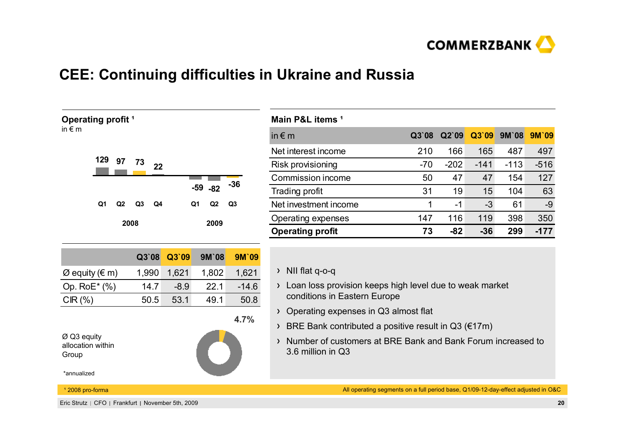

## **CEE: Continuing difficulties in Ukraine and Russia**

| Operating profit <sup>1</sup>                |                      |        |            |                | Main P&L items <sup>1</sup>         |
|----------------------------------------------|----------------------|--------|------------|----------------|-------------------------------------|
| in $\epsilon$ m                              |                      |        |            |                | in $\notin$ m                       |
|                                              |                      |        |            |                | Net interest income                 |
| 129<br>97                                    | 73<br>22             |        |            |                | Risk provisioning                   |
|                                              |                      |        |            | $-36$          | Commission income                   |
|                                              |                      |        | $-59 - 82$ |                | Trading profit                      |
| Q1<br>Q2                                     | Q <sub>3</sub><br>Q4 |        | Q1<br>Q2   | Q <sub>3</sub> | Net investment incom                |
|                                              | 2008                 |        | 2009       |                | Operating expenses                  |
|                                              |                      |        |            |                | <b>Operating profit</b>             |
|                                              |                      |        |            |                |                                     |
|                                              | Q3`08                | Q3`09  | 9M'08      | 9M'09          |                                     |
| $\varnothing$ equity ( $\in$ m)              | 1,990                | 1,621  | 1,802      | 1,621          | NII flat q-o-q<br>እ                 |
| Op. RoE* (%)                                 | 14.7                 | $-8.9$ | 22.1       | $-14.6$        | Loan loss provisi<br>≻              |
| CIR(%)                                       | 50.5                 | 53.1   | 49.1       | 50.8           | conditions in Eas                   |
|                                              |                      |        |            | 4.7%           | Operating expen<br>$\lambda$        |
|                                              |                      |        |            |                | <b>BRE Bank contri</b><br>$\lambda$ |
| $\varnothing$ Q3 equity<br>allocation within |                      |        |            |                | Number of custo<br>$\lambda$        |
| Group                                        |                      |        |            |                | 3.6 million in Q3                   |
| *annualized                                  |                      |        |            |                |                                     |
| <sup>1</sup> 2008 pro-forma                  |                      |        |            |                | All                                 |

| Main P&L items '        |       |        |        |              |        |
|-------------------------|-------|--------|--------|--------------|--------|
| in $\epsilon$ m         | Q3'08 | Q2'09  | Q3`09  | <b>9M'08</b> | 9M'09  |
| Net interest income     | 210   | 166    | 165    | 487          | 497    |
| Risk provisioning       | $-70$ | $-202$ | $-141$ | $-113$       | $-516$ |
| Commission income       | 50    | 47     | 47     | 154          | 127    |
| Trading profit          | 31    | 19     | 15     | 104          | 63     |
| Net investment income   | 1     | -1     | -3     | 61           | $-9$   |
| Operating expenses      | 147   | 116    | 119    | 398          | 350    |
| <b>Operating profit</b> | 73    | -82    | $-36$  | 299          | $-177$ |

- ion keeps high level due to weak market stern Europe
- opes in Q3 almost flat
- ibuted a positive result in Q3 ( $€17m$ )
- Number of customers at BRE Bank and Bank Forum increased to

operating segments on a full period base, Q1/09-12-day-effect adjusted in O&C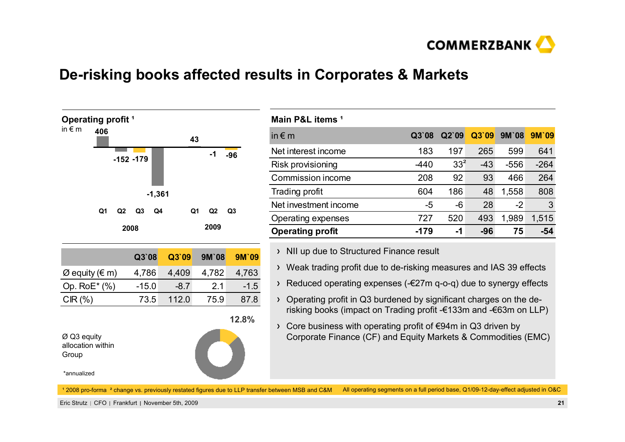

## **De-risking books affected results in Corporates & Markets**



| Main P&L items <sup>1</sup> |        |                 |       |        |        |
|-----------------------------|--------|-----------------|-------|--------|--------|
| in $\epsilon$ m             | Q3`08  | Q2`09           | Q3`09 | 9M'08  | 9M'09  |
| Net interest income         | 183    | 197             | 265   | 599    | 641    |
| Risk provisioning           | $-440$ | 33 <sup>2</sup> | $-43$ | $-556$ | $-264$ |
| Commission income           | 208    | 92              | 93    | 466    | 264    |
| Trading profit              | 604    | 186             | 48    | 1,558  | 808    |
| Net investment income       | -5     | -6              | 28    | $-2$   | 3      |
| Operating expenses          | 727    | 520             | 493   | 1,989  | 1,515  |
| <b>Operating profit</b>     | -179   | -1              | -96   | 75     | -54    |
|                             |        |                 |       |        |        |

- > NII up due to Structured Finance result
- Weak trading profit due to de-risking measures and IAS 39 effects
- Reduced operating expenses (-€27m q-o-q) due to synergy effects
- Operating profit in Q3 burdened by significant charges on the derisking books (impact on Trading profit -€133m and -€63m on LLP)
- Core business with operating profit of €94m in Q3 driven by Corporate Finance (CF) and Equity Markets & Commodities (EMC)

All operating segments on a full period base, Q1/09-12-day-effect adjusted in O&C <sup>1</sup> 2008 pro-forma <sup>2</sup> change vs. previously restated figures due to LLP transfer between MSB and C&M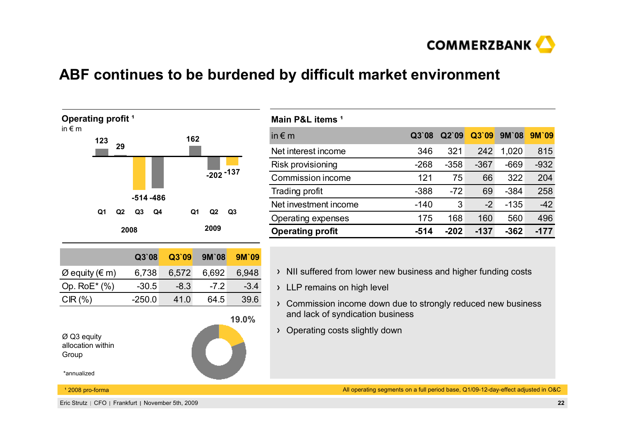

## **ABF continues to be burdened by difficult market environment**



| Main P&L items <sup>1</sup> |        |        |        |              |        |
|-----------------------------|--------|--------|--------|--------------|--------|
| in $\notin$ m               | Q3'08  | Q2'09  | Q3`09  | <b>9M'08</b> | 9M'09  |
| Net interest income         | 346    | 321    | 242    | 1,020        | 815    |
| Risk provisioning           | $-268$ | $-358$ | $-367$ | $-669$       | $-932$ |
| Commission income           | 121    | 75     | 66     | 322          | 204    |
| Trading profit              | $-388$ | $-72$  | 69     | $-384$       | 258    |
| Net investment income       | $-140$ | 3      | $-2$   | $-135$       | $-42$  |
| Operating expenses          | 175    | 168    | 160    | 560          | 496    |
| <b>Operating profit</b>     | $-514$ | $-202$ | $-137$ | $-362$       | -177   |

- $\rightarrow$  NII suffered from lower new business and higher funding costs
- > LLP remains on high level
- > Commission income down due to strongly reduced new business and lack of syndication business
- Operating costs slightly down

All operating segments on a full period base, Q1/09-12-day-effect adjusted in O&C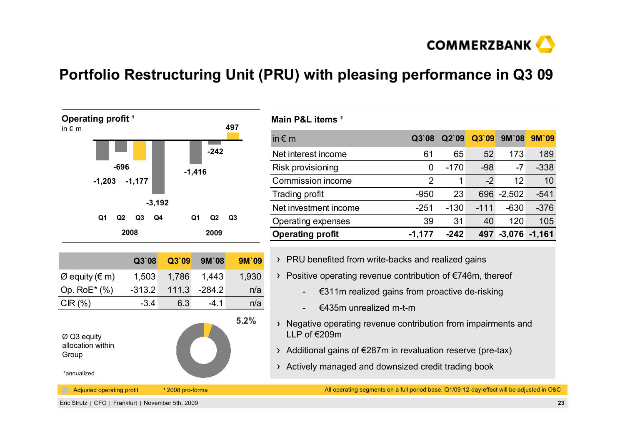

## **Portfolio Restructuring Unit (PRU) with pleasing performance in Q3 09**



| Main P&L items <sup>1</sup> |                |        |        |              |          |
|-----------------------------|----------------|--------|--------|--------------|----------|
| in $\notin$ m               | Q3'08          | Q2`09  | Q3`09  | <b>9M'08</b> | 9M'09    |
| Net interest income         | 61             | 65     | 52     | 173          | 189      |
| Risk provisioning           | 0              | $-170$ | $-98$  | $-7$         | $-338$   |
| Commission income           | $\overline{2}$ | 1      | $-2$   | 12           | 10       |
| Trading profit              | $-950$         | 23     | 696    | $-2,502$     | $-541$   |
| Net investment income       | $-251$         | $-130$ | $-111$ | $-630$       | $-376$   |
| Operating expenses          | 39             | 31     | 40     | 120          | 105      |
| <b>Operating profit</b>     | $-1,177$       | $-242$ | 497    | $-3,076$     | $-1,161$ |

- > PRU benefited from write-backs and realized gains
- Positive operating revenue contribution of €746m, thereof
	- -€311m realized gains from proactive de-risking
	- €435m unrealized m-t-m
- > Negative operating revenue contribution from impairments and LLP of  $\epsilon$ 209m
- $\rightarrow$  Additional gains of  $\epsilon$ 287m in revaluation reserve (pre-tax)
- Actively managed and downsized credit trading book

Adjusted operating profit <sup>1</sup> 2008 pro-forma **All operating segments on a full period base**, Q1/09-12-day-effect will be adjusted in O&C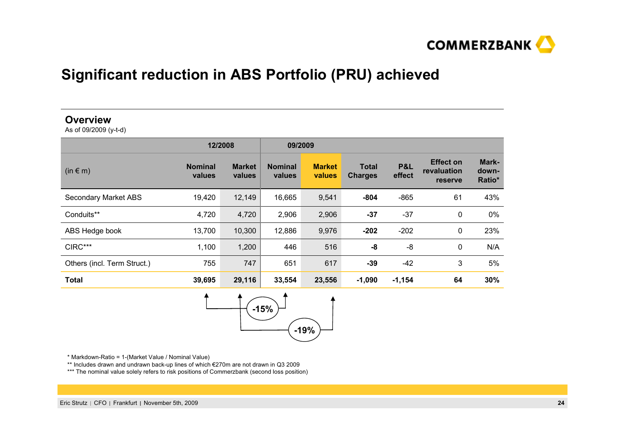

## **Significant reduction in ABS Portfolio (PRU) achieved**

### **Overview**

As of 09/2009 (y-t-d)

|                             | 12/2008                  |                         | 09/2009                  |                         |                                |                          |                                            |                          |
|-----------------------------|--------------------------|-------------------------|--------------------------|-------------------------|--------------------------------|--------------------------|--------------------------------------------|--------------------------|
| $(in \in m)$                | <b>Nominal</b><br>values | <b>Market</b><br>values | <b>Nominal</b><br>values | <b>Market</b><br>values | <b>Total</b><br><b>Charges</b> | <b>P&amp;L</b><br>effect | <b>Effect on</b><br>revaluation<br>reserve | Mark-<br>down-<br>Ratio* |
| <b>Secondary Market ABS</b> | 19,420                   | 12,149                  | 16,665                   | 9,541                   | $-804$                         | $-865$                   | 61                                         | 43%                      |
| Conduits**                  | 4,720                    | 4,720                   | 2,906                    | 2,906                   | $-37$                          | $-37$                    | 0                                          | 0%                       |
| ABS Hedge book              | 13,700                   | 10,300                  | 12,886                   | 9,976                   | $-202$                         | $-202$                   | 0                                          | 23%                      |
| CIRC***                     | 1,100                    | 1,200                   | 446                      | 516                     | -8                             | $-8$                     | 0                                          | N/A                      |
| Others (incl. Term Struct.) | 755                      | 747                     | 651                      | 617                     | -39                            | $-42$                    | 3                                          | 5%                       |
| <b>Total</b>                | 39,695                   | 29,116                  | 33,554                   | 23,556                  | $-1,090$                       | $-1,154$                 | 64                                         | 30%                      |



\* Markdown-Ratio = 1-(Market Value / Nominal Value)

\*\* Includes drawn and undrawn back-up lines of which €270m are not drawn in Q3 2009

\*\*\* The nominal value solely refers to risk positions of Commerzbank (second loss position)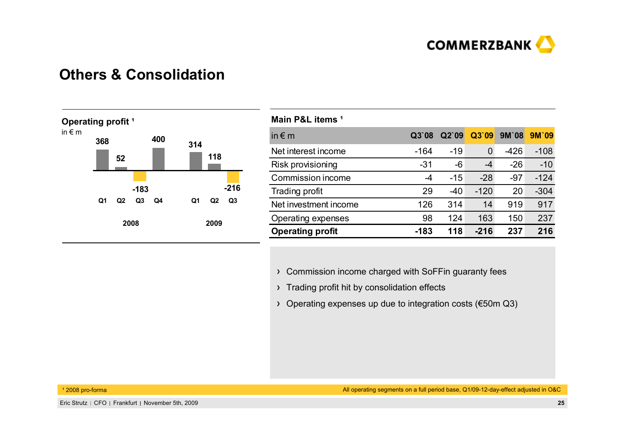

### **Others & Consolidation**



| Main P&L items <sup>1</sup> |        |       |        |              |        |
|-----------------------------|--------|-------|--------|--------------|--------|
| in $\notin$ m               | Q3'08  | Q2'09 | Q3`09  | <b>9M'08</b> | 9M'09  |
| Net interest income         | $-164$ | $-19$ | 0      | $-426$       | $-108$ |
| Risk provisioning           | $-31$  | -6    | $-4$   | $-26$        | $-10$  |
| Commission income           | -4     | $-15$ | $-28$  | $-97$        | $-124$ |
| Trading profit              | 29     | $-40$ | $-120$ | 20           | $-304$ |
| Net investment income       | 126    | 314   | 14     | 919          | 917    |
| Operating expenses          | 98     | 124   | 163    | 150          | 237    |
| <b>Operating profit</b>     | $-183$ | 118   | $-216$ | 237          | 216    |

- Commission income charged with SoFFin guaranty fees
- > Trading profit hit by consolidation effects
- Operating expenses up due to integration costs (€50m Q3)

<sup>1</sup> 2008 pro-forma

All operating segments on a full period base, Q1/09-12-day-effect adjusted in O&C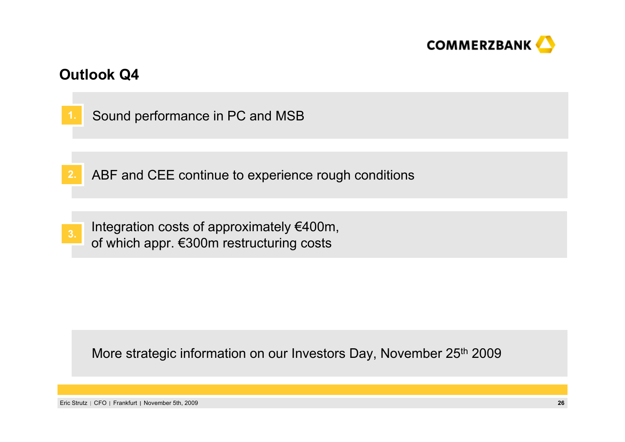

## **Outlook Q4**



More strategic information on our Investors Day, November 25th 2009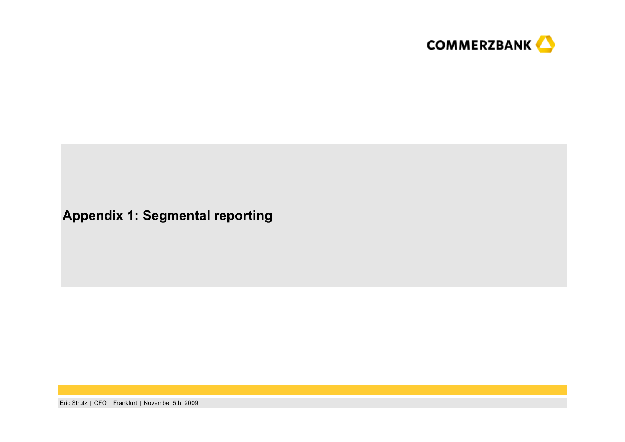

## **Appendix 1: Segmental reporting**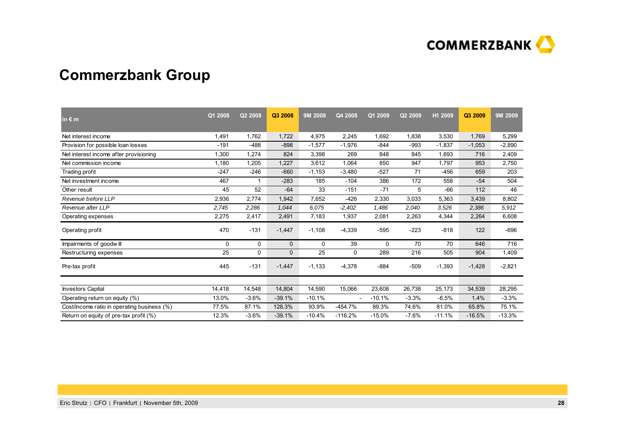

## **Commerzbank Group**

| in $\epsilon$ m                             | Q1 2008 | Q2 2008 | Q3 2008  | 9M 2008  | Q4 2008                  | Q1 2009  | Q2 2009 | H1 2009  | Q3 2009  | 9M 2009  |
|---------------------------------------------|---------|---------|----------|----------|--------------------------|----------|---------|----------|----------|----------|
| Net interest income                         | 1.491   | 1,762   | 1,722    | 4,975    | 2,245                    | 1.692    | 1,838   | 3,530    | 1,769    | 5,299    |
| Provision for possible loan losses          | $-191$  | $-488$  | $-898$   | $-1,577$ | $-1,976$                 | $-844$   | $-993$  | $-1,837$ | $-1,053$ | $-2,890$ |
| Net interest income after provisioning      | 1,300   | 1,274   | 824      | 3,398    | 269                      | 848      | 845     | 1,693    | 716      | 2,409    |
| Net commission income                       | 1,180   | 1,205   | 1,227    | 3,612    | 1,064                    | 850      | 947     | 1,797    | 953      | 2,750    |
| Trading profit                              | $-247$  | $-246$  | $-660$   | $-1,153$ | $-3,480$                 | $-527$   | 71      | $-456$   | 659      | 203      |
| Net investment income                       | 467     |         | $-283$   | 185      | $-104$                   | 386      | 172     | 558      | $-54$    | 504      |
| Other result                                | 45      | 52      | $-64$    | 33       | $-151$                   | $-71$    | 5       | $-66$    | 112      | 46       |
| Revenue before LLP                          | 2,936   | 2,774   | 1,942    | 7,652    | $-426$                   | 2,330    | 3,033   | 5,363    | 3,439    | 8,802    |
| Revenue after LLP                           | 2.745   | 2,286   | 1,044    | 6.075    | $-2,402$                 | 1,486    | 2,040   | 3,526    | 2,386    | 5,912    |
| Operating expenses                          | 2,275   | 2,417   | 2,491    | 7,183    | 1,937                    | 2,081    | 2,263   | 4,344    | 2,264    | 6,608    |
| Operating profit                            | 470     | $-131$  | $-1,447$ | $-1,108$ | $-4,339$                 | $-595$   | -223    | $-818$   | 122      | -696     |
| Impairments of goodwill                     | 0       | 0       | 0        | 0        | 39                       | 0        | 70      | 70       | 646      | 716      |
| Restructuring expenses                      | 25      | 0       | 0        | 25       | 0                        | 289      | 216     | 505      | 904      | 1,409    |
| Pre-tax profit                              | 445     | $-131$  | $-1,447$ | $-1,133$ | $-4,378$                 | $-884$   | $-509$  | $-1,393$ | $-1,428$ | $-2,821$ |
|                                             |         |         |          |          |                          |          |         |          |          |          |
| <b>Investors Capital</b>                    | 14,418  | 14,548  | 14,804   | 14,590   | 15,066                   | 23,608   | 26,738  | 25,173   | 34,539   | 28,295   |
| Operating return on equity (%)              | 13.0%   | $-3.6%$ | $-39.1%$ | $-10.1%$ | $\overline{\phantom{a}}$ | $-10.1%$ | $-3.3%$ | $-6.5%$  | 1.4%     | $-3.3%$  |
| Cost/income ratio in operating business (%) | 77.5%   | 87.1%   | 128.3%   | 93.9%    | $-454.7%$                | 89.3%    | 74.6%   | 81.0%    | 65.8%    | 75.1%    |
| Return on equity of pre-tax profit (%)      | 12.3%   | $-3.6%$ | $-39.1%$ | $-10.4%$ | $-116.2%$                | $-15.0%$ | $-7.6%$ | $-11.1%$ | $-16.5%$ | $-13.3%$ |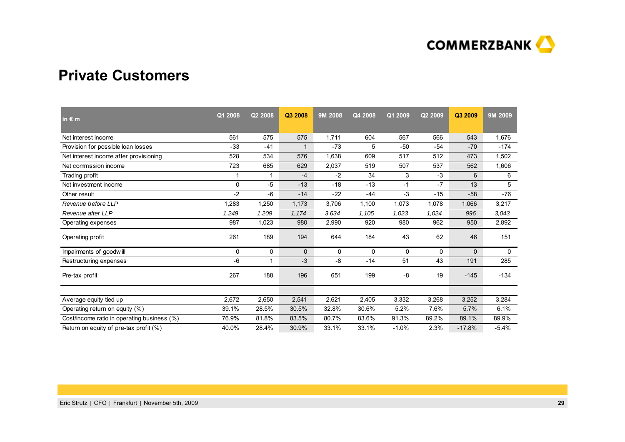

### **Private Customers**

| in $\epsilon$ m                             | Q1 2008 | Q2 2008     | Q3 2008      | 9M 2008 | Q4 2008 | Q1 2009 | Q2 2009 | Q3 2009  | 9M 2009 |
|---------------------------------------------|---------|-------------|--------------|---------|---------|---------|---------|----------|---------|
| Net interest income                         | 561     | 575         | 575          | 1,711   | 604     | 567     | 566     | 543      | 1,676   |
| Provision for possible loan losses          | $-33$   | $-41$       | 1            | $-73$   | 5       | $-50$   | $-54$   | $-70$    | $-174$  |
| Net interest income after provisioning      | 528     | 534         | 576          | 1,638   | 609     | 517     | 512     | 473      | 1,502   |
| Net commission income                       | 723     | 685         | 629          | 2,037   | 519     | 507     | 537     | 562      | 1,606   |
| Trading profit                              | 1       | 1           | $-4$         | $-2$    | 34      | 3       | $-3$    | 6        | 6       |
| Net investment income                       | 0       | $-5$        | $-13$        | $-18$   | $-13$   | $-1$    | $-7$    | 13       | 5       |
| Other result                                | $-2$    | -6          | $-14$        | $-22$   | $-44$   | $-3$    | $-15$   | $-58$    | $-76$   |
| Revenue before LLP                          | 1.283   | 1.250       | 1,173        | 3,706   | 1,100   | 1,073   | 1,078   | 1,066    | 3,217   |
| Revenue after LLP                           | 1,249   | 1,209       | 1,174        | 3,634   | 1,105   | 1,023   | 1,024   | 996      | 3,043   |
| Operating expenses                          | 987     | 1,023       | 980          | 2,990   | 920     | 980     | 962     | 950      | 2,892   |
| Operating profit                            | 261     | 189         | 194          | 644     | 184     | 43      | 62      | 46       | 151     |
| Impairments of goodwill                     | 0       | $\mathbf 0$ | $\mathbf{0}$ | 0       | 0       | 0       | 0       | $\Omega$ | 0       |
| Restructuring expenses                      | $-6$    | 1           | $-3$         | -8      | $-14$   | 51      | 43      | 191      | 285     |
| Pre-tax profit                              | 267     | 188         | 196          | 651     | 199     | -8      | 19      | $-145$   | $-134$  |
|                                             |         |             |              |         |         |         |         |          |         |
| Average equity tied up                      | 2,672   | 2,650       | 2,541        | 2,621   | 2,405   | 3,332   | 3,268   | 3,252    | 3,284   |
| Operating return on equity (%)              | 39.1%   | 28.5%       | 30.5%        | 32.8%   | 30.6%   | 5.2%    | 7.6%    | 5.7%     | 6.1%    |
| Cost/income ratio in operating business (%) | 76.9%   | 81.8%       | 83.5%        | 80.7%   | 83.6%   | 91.3%   | 89.2%   | 89.1%    | 89.9%   |
| Return on equity of pre-tax profit (%)      | 40.0%   | 28.4%       | 30.9%        | 33.1%   | 33.1%   | $-1.0%$ | 2.3%    | $-17.8%$ | $-5.4%$ |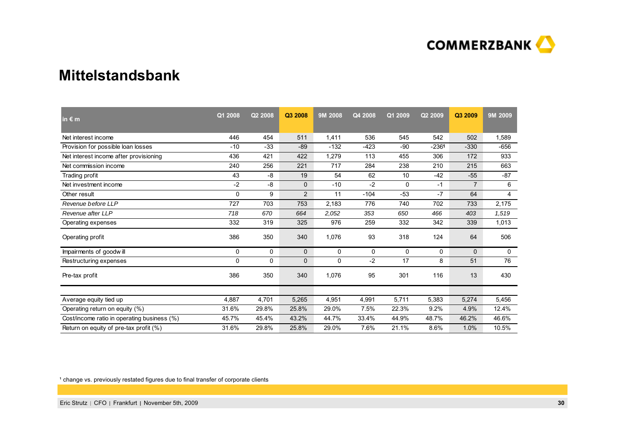

### **Mittelstandsbank**

| in $\epsilon$ m                             | Q1 2008 | Q2 2008      | Q3 2008      | 9M 2008 | Q4 2008 | Q1 2009  | Q2 2009 | Q3 2009        | 9M 2009 |
|---------------------------------------------|---------|--------------|--------------|---------|---------|----------|---------|----------------|---------|
| Net interest income                         | 446     | 454          | 511          | 1,411   | 536     | 545      | 542     | 502            | 1,589   |
| Provision for possible loan losses          | $-10$   | $-33$        | $-89$        | $-132$  | $-423$  | $-90$    | $-2361$ | $-330$         | $-656$  |
| Net interest income after provisioning      | 436     | 421          | 422          | 1,279   | 113     | 455      | 306     | 172            | 933     |
| Net commission income                       | 240     | 256          | 221          | 717     | 284     | 238      | 210     | 215            | 663     |
| Trading profit                              | 43      | -8           | 19           | 54      | 62      | 10       | $-42$   | $-55$          | $-87$   |
| Net investment income                       | $-2$    | -8           | $\mathbf{0}$ | $-10$   | $-2$    | $\Omega$ | $-1$    | $\overline{7}$ | 6       |
| Other result                                | 0       | 9            | 2            | 11      | $-104$  | $-53$    | $-7$    | 64             | 4       |
| Revenue before LLP                          | 727     | 703          | 753          | 2,183   | 776     | 740      | 702     | 733            | 2,175   |
| Revenue after LLP                           | 718     | 670          | 664          | 2,052   | 353     | 650      | 466     | 403            | 1,519   |
| Operating expenses                          | 332     | 319          | 325          | 976     | 259     | 332      | 342     | 339            | 1,013   |
| Operating profit                            | 386     | 350          | 340          | 1,076   | 93      | 318      | 124     | 64             | 506     |
| Impairments of goodwill                     | 0       | 0            | $\mathbf{0}$ | 0       | 0       | 0        | 0       | $\Omega$       | 0       |
| Restructuring expenses                      | 0       | $\mathbf{0}$ | $\mathbf{0}$ | 0       | $-2$    | 17       | 8       | 51             | 76      |
| Pre-tax profit                              | 386     | 350          | 340          | 1,076   | 95      | 301      | 116     | 13             | 430     |
|                                             |         |              |              |         |         |          |         |                |         |
| Average equity tied up                      | 4,887   | 4,701        | 5,265        | 4,951   | 4,991   | 5,711    | 5,383   | 5,274          | 5,456   |
| Operating return on equity (%)              | 31.6%   | 29.8%        | 25.8%        | 29.0%   | 7.5%    | 22.3%    | 9.2%    | 4.9%           | 12.4%   |
| Cost/income ratio in operating business (%) | 45.7%   | 45.4%        | 43.2%        | 44.7%   | 33.4%   | 44.9%    | 48.7%   | 46.2%          | 46.6%   |
| Return on equity of pre-tax profit (%)      | 31.6%   | 29.8%        | 25.8%        | 29.0%   | 7.6%    | 21.1%    | 8.6%    | 1.0%           | 10.5%   |

<sup>1</sup> change vs. previously restated figures due to final transfer of corporate clients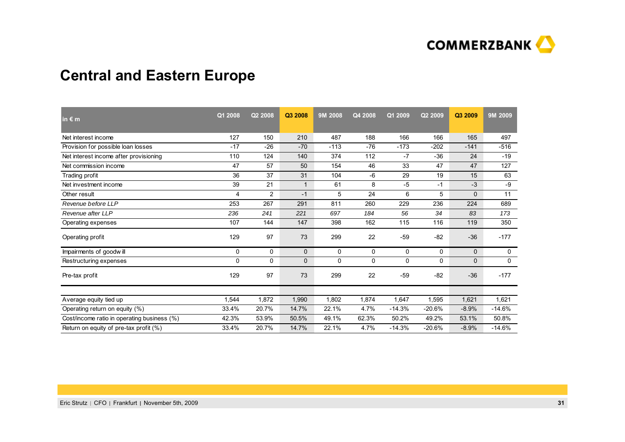

## **Central and Eastern Europe**

| in $\epsilon$ m                             | Q1 2008 | Q2 2008        | Q3 2008      | 9M 2008      | Q4 2008 | Q1 2009  | Q2 2009      | Q3 2009      | 9M 2009  |
|---------------------------------------------|---------|----------------|--------------|--------------|---------|----------|--------------|--------------|----------|
| Net interest income                         | 127     | 150            | 210          | 487          | 188     | 166      | 166          | 165          | 497      |
| Provision for possible loan losses          | $-17$   | $-26$          | $-70$        | $-113$       | $-76$   | $-173$   | $-202$       | $-141$       | $-516$   |
| Net interest income after provisioning      | 110     | 124            | 140          | 374          | 112     | $-7$     | $-36$        | 24           | $-19$    |
| Net commission income                       | 47      | 57             | 50           | 154          | 46      | 33       | 47           | 47           | 127      |
| Trading profit                              | 36      | 37             | 31           | 104          | -6      | 29       | 19           | 15           | 63       |
| Net investment income                       | 39      | 21             | $\mathbf{1}$ | 61           | 8       | $-5$     | $-1$         | $-3$         | -9       |
| Other result                                | 4       | $\overline{2}$ | $-1$         | 5            | 24      | 6        | 5            | $\Omega$     | 11       |
| Revenue before LLP                          | 253     | 267            | 291          | 811          | 260     | 229      | 236          | 224          | 689      |
| Revenue after LLP                           | 236     | 241            | 221          | 697          | 184     | 56       | 34           | 83           | 173      |
| Operating expenses                          | 107     | 144            | 147          | 398          | 162     | 115      | 116          | 119          | 350      |
| Operating profit                            | 129     | 97             | 73           | 299          | 22      | $-59$    | $-82$        | $-36$        | $-177$   |
| Impairments of goodwill                     | 0       | 0              | $\mathbf{0}$ | 0            | 0       | 0        | 0            | $\mathbf{0}$ | 0        |
| Restructuring expenses                      | 0       | 0              | $\mathbf{0}$ | $\mathbf{0}$ | 0       | $\Omega$ | $\mathbf{0}$ | 0            | 0        |
| Pre-tax profit                              | 129     | 97             | 73           | 299          | 22      | $-59$    | $-82$        | $-36$        | $-177$   |
|                                             |         |                |              |              |         |          |              |              |          |
| Average equity tied up                      | 1,544   | 1,872          | 1,990        | 1,802        | 1,874   | 1,647    | 1,595        | 1,621        | 1,621    |
| Operating return on equity (%)              | 33.4%   | 20.7%          | 14.7%        | 22.1%        | 4.7%    | $-14.3%$ | $-20.6%$     | $-8.9%$      | $-14.6%$ |
| Cost/income ratio in operating business (%) | 42.3%   | 53.9%          | 50.5%        | 49.1%        | 62.3%   | 50.2%    | 49.2%        | 53.1%        | 50.8%    |
| Return on equity of pre-tax profit (%)      | 33.4%   | 20.7%          | 14.7%        | 22.1%        | 4.7%    | $-14.3%$ | $-20.6%$     | $-8.9%$      | $-14.6%$ |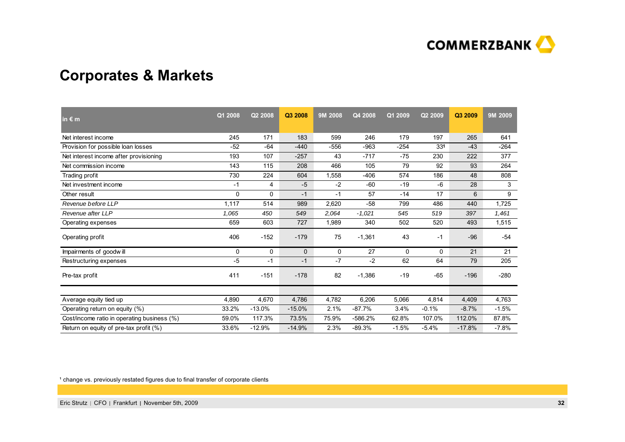

## **Corporates & Markets**

| in $\epsilon$ m                             | Q1 2008  | Q2 2008  | Q3 2008      | 9M 2008 | Q4 2008  | Q1 2009 | Q2 2009 | Q3 2009  | 9M 2009 |
|---------------------------------------------|----------|----------|--------------|---------|----------|---------|---------|----------|---------|
| Net interest income                         | 245      | 171      | 183          | 599     | 246      | 179     | 197     | 265      | 641     |
| Provision for possible loan losses          | $-52$    | $-64$    | $-440$       | $-556$  | $-963$   | $-254$  | 331     | $-43$    | $-264$  |
| Net interest income after provisioning      | 193      | 107      | $-257$       | 43      | $-717$   | $-75$   | 230     | 222      | 377     |
| Net commission income                       | 143      | 115      | 208          | 466     | 105      | 79      | 92      | 93       | 264     |
| Trading profit                              | 730      | 224      | 604          | 1,558   | $-406$   | 574     | 186     | 48       | 808     |
| Net investment income                       | $-1$     | 4        | $-5$         | $-2$    | $-60$    | $-19$   | $-6$    | 28       | 3       |
| Other result                                | $\Omega$ | $\Omega$ | $-1$         | $-1$    | 57       | $-14$   | 17      | 6        | 9       |
| Revenue before LLP                          | 1,117    | 514      | 989          | 2,620   | $-58$    | 799     | 486     | 440      | 1,725   |
| Revenue after LLP                           | 1,065    | 450      | 549          | 2,064   | $-1,021$ | 545     | 519     | 397      | 1,461   |
| Operating expenses                          | 659      | 603      | 727          | 1,989   | 340      | 502     | 520     | 493      | 1,515   |
| Operating profit                            | 406      | $-152$   | $-179$       | 75      | $-1,361$ | 43      | $-1$    | $-96$    | $-54$   |
| Impairments of goodwill                     | 0        | 0        | $\mathbf{0}$ | 0       | 27       | 0       | 0       | 21       | 21      |
| Restructuring expenses                      | $-5$     | $-1$     | $-1$         | $-7$    | $-2$     | 62      | 64      | 79       | 205     |
| Pre-tax profit                              | 411      | $-151$   | $-178$       | 82      | $-1,386$ | $-19$   | $-65$   | $-196$   | $-280$  |
|                                             |          |          |              |         |          |         |         |          |         |
| Average equity tied up                      | 4,890    | 4,670    | 4,786        | 4,782   | 6,206    | 5,066   | 4,814   | 4,409    | 4,763   |
| Operating return on equity (%)              | 33.2%    | $-13.0%$ | $-15.0%$     | 2.1%    | $-87.7%$ | 3.4%    | $-0.1%$ | $-8.7%$  | $-1.5%$ |
| Cost/income ratio in operating business (%) | 59.0%    | 117.3%   | 73.5%        | 75.9%   | -586.2%  | 62.8%   | 107.0%  | 112.0%   | 87.8%   |
| Return on equity of pre-tax profit (%)      | 33.6%    | $-12.9%$ | $-14.9%$     | 2.3%    | $-89.3%$ | $-1.5%$ | $-5.4%$ | $-17.8%$ | $-7.8%$ |

<sup>1</sup> change vs. previously restated figures due to final transfer of corporate clients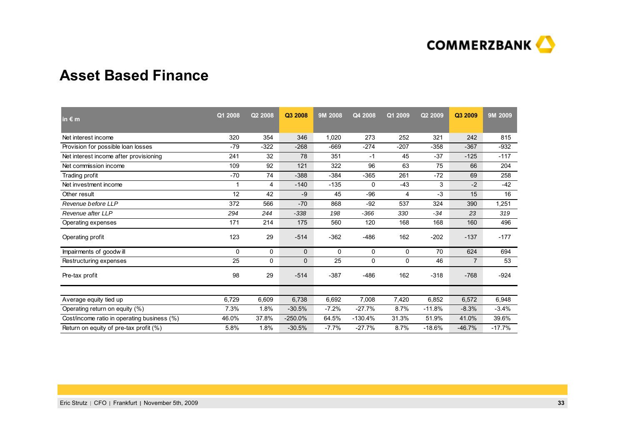

### **Asset Based Finance**

| in $\epsilon$ m                             | Q1 2008 | Q2 2008 | Q3 2008   | 9M 2008 | Q4 2008   | Q1 2009  | Q2 2009  | Q3 2009        | 9M 2009  |
|---------------------------------------------|---------|---------|-----------|---------|-----------|----------|----------|----------------|----------|
| Net interest income                         | 320     | 354     | 346       | 1,020   | 273       | 252      | 321      | 242            | 815      |
| Provision for possible loan losses          | $-79$   | $-322$  | $-268$    | $-669$  | $-274$    | $-207$   | $-358$   | $-367$         | $-932$   |
| Net interest income after provisioning      | 241     | 32      | 78        | 351     | $-1$      | 45       | $-37$    | $-125$         | $-117$   |
| Net commission income                       | 109     | 92      | 121       | 322     | 96        | 63       | 75       | 66             | 204      |
| Trading profit                              | $-70$   | 74      | $-388$    | $-384$  | $-365$    | 261      | $-72$    | 69             | 258      |
| Net investment income                       | 1       | 4       | $-140$    | $-135$  | 0         | $-43$    | 3        | $-2$           | $-42$    |
| Other result                                | 12      | 42      | $-9$      | 45      | $-96$     | 4        | $-3$     | 15             | 16       |
| Revenue before LLP                          | 372     | 566     | $-70$     | 868     | $-92$     | 537      | 324      | 390            | 1,251    |
| Revenue after LLP                           | 294     | 244     | $-338$    | 198     | $-366$    | 330      | $-34$    | 23             | 319      |
| Operating expenses                          | 171     | 214     | 175       | 560     | 120       | 168      | 168      | 160            | 496      |
| Operating profit                            | 123     | 29      | $-514$    | $-362$  | $-486$    | 162      | $-202$   | $-137$         | $-177$   |
| Impairments of goodwill                     | 0       | 0       | 0         | 0       | 0         | 0        | 70       | 624            | 694      |
| Restructuring expenses                      | 25      | 0       | 0         | 25      | 0         | $\Omega$ | 46       | $\overline{7}$ | 53       |
| Pre-tax profit                              | 98      | 29      | $-514$    | $-387$  | $-486$    | 162      | $-318$   | $-768$         | $-924$   |
|                                             |         |         |           |         |           |          |          |                |          |
| Average equity tied up                      | 6,729   | 6,609   | 6,738     | 6,692   | 7,008     | 7,420    | 6,852    | 6,572          | 6,948    |
| Operating return on equity (%)              | 7.3%    | 1.8%    | $-30.5%$  | $-7.2%$ | $-27.7%$  | 8.7%     | $-11.8%$ | $-8.3%$        | $-3.4%$  |
| Cost/income ratio in operating business (%) | 46.0%   | 37.8%   | $-250.0%$ | 64.5%   | $-130.4%$ | 31.3%    | 51.9%    | 41.0%          | 39.6%    |
| Return on equity of pre-tax profit (%)      | 5.8%    | 1.8%    | $-30.5%$  | $-7.7%$ | $-27.7%$  | 8.7%     | $-18.6%$ | $-46.7%$       | $-17.7%$ |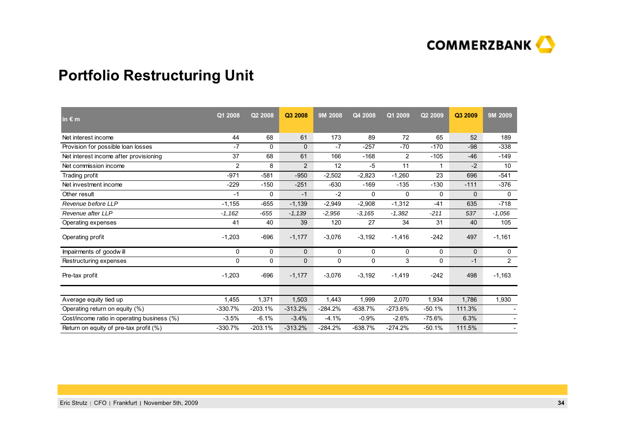

## **Portfolio Restructuring Unit**

| 189<br>$-338$<br>$-149$                                                                                                   |
|---------------------------------------------------------------------------------------------------------------------------|
|                                                                                                                           |
|                                                                                                                           |
|                                                                                                                           |
| 10 <sup>°</sup>                                                                                                           |
| $-541$                                                                                                                    |
| $-376$                                                                                                                    |
| 0                                                                                                                         |
| $-718$                                                                                                                    |
| $-1,056$                                                                                                                  |
| 105                                                                                                                       |
| $-1,161$                                                                                                                  |
| $\mathbf 0$                                                                                                               |
| $\overline{2}$                                                                                                            |
| $-1,163$                                                                                                                  |
| 1,930                                                                                                                     |
|                                                                                                                           |
|                                                                                                                           |
|                                                                                                                           |
| $-2$<br>696<br>$-111$<br>$\Omega$<br>635<br>40<br>497<br>$\mathbf{0}$<br>$-1$<br>498<br>1,786<br>111.3%<br>6.3%<br>111.5% |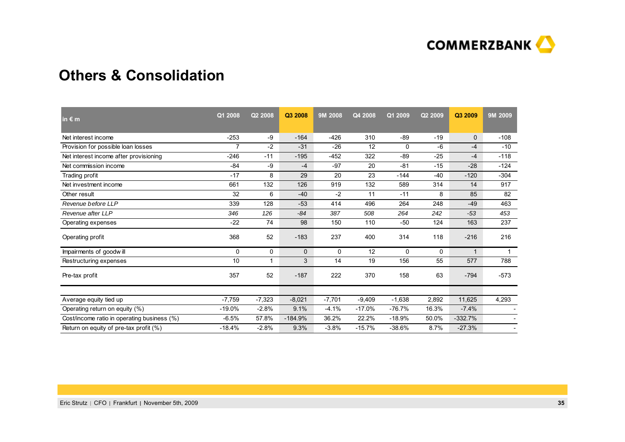

### **Others & Consolidation**

| in $\epsilon$ m                             | Q1 2008  | Q2 2008  | Q3 2008      | 9M 2008  | Q4 2008  | Q1 2009  | Q2 2009 | Q3 2009        | 9M 2009                  |
|---------------------------------------------|----------|----------|--------------|----------|----------|----------|---------|----------------|--------------------------|
| Net interest income                         | $-253$   | -9       | $-164$       | $-426$   | 310      | $-89$    | $-19$   | $\overline{0}$ | $-108$                   |
| Provision for possible loan losses          | 7        | $-2$     | $-31$        | $-26$    | 12       | 0        | $-6$    | $-4$           | $-10$                    |
| Net interest income after provisioning      | $-246$   | $-11$    | $-195$       | $-452$   | 322      | $-89$    | $-25$   | $-4$           | $-118$                   |
| Net commission income                       | $-84$    | -9       | $-4$         | $-97$    | 20       | $-81$    | $-15$   | $-28$          | $-124$                   |
| Trading profit                              | $-17$    | 8        | 29           | 20       | 23       | $-144$   | $-40$   | $-120$         | $-304$                   |
| Net investment income                       | 661      | 132      | 126          | 919      | 132      | 589      | 314     | 14             | 917                      |
| Other result                                | 32       | 6        | $-40$        | $-2$     | 11       | $-11$    | 8       | 85             | 82                       |
| Revenue before LLP                          | 339      | 128      | $-53$        | 414      | 496      | 264      | 248     | $-49$          | 463                      |
| Revenue after LLP                           | 346      | 126      | $-84$        | 387      | 508      | 264      | 242     | $-53$          | 453                      |
| Operating expenses                          | $-22$    | 74       | 98           | 150      | 110      | $-50$    | 124     | 163            | 237                      |
| Operating profit                            | 368      | 52       | $-183$       | 237      | 400      | 314      | 118     | $-216$         | 216                      |
| Impairments of goodwill                     | 0        | 0        | $\mathbf{0}$ | 0        | 12       | 0        | 0       | 1              | $\mathbf{1}$             |
| Restructuring expenses                      | 10       | 1        | 3            | 14       | 19       | 156      | 55      | 577            | 788                      |
| Pre-tax profit                              | 357      | 52       | $-187$       | 222      | 370      | 158      | 63      | $-794$         | $-573$                   |
|                                             |          |          |              |          |          |          |         |                |                          |
| Average equity tied up                      | $-7,759$ | $-7,323$ | $-8,021$     | $-7,701$ | $-9,409$ | $-1,638$ | 2,892   | 11,625         | 4,293                    |
| Operating return on equity (%)              | $-19.0%$ | $-2.8%$  | 9.1%         | $-4.1%$  | $-17.0%$ | $-76.7%$ | 16.3%   | $-7.4%$        |                          |
| Cost/income ratio in operating business (%) | $-6.5%$  | 57.8%    | $-184.9%$    | 36.2%    | 22.2%    | $-18.9%$ | 50.0%   | $-332.7%$      |                          |
| Return on equity of pre-tax profit (%)      | $-18.4%$ | $-2.8%$  | 9.3%         | $-3.8%$  | $-15.7%$ | $-38.6%$ | 8.7%    | $-27.3%$       | $\overline{\phantom{a}}$ |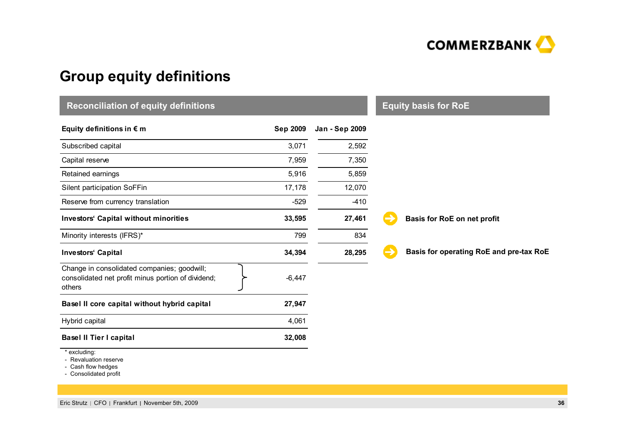

## **Group equity definitions**

| <b>Reconciliation of equity definitions</b>                                                                 | <b>Equity basis for RoE</b> |                |                                         |
|-------------------------------------------------------------------------------------------------------------|-----------------------------|----------------|-----------------------------------------|
| Equity definitions in $\epsilon$ m                                                                          | <b>Sep 2009</b>             | Jan - Sep 2009 |                                         |
| Subscribed capital                                                                                          | 3,071                       | 2,592          |                                         |
| Capital reserve                                                                                             | 7,959                       | 7,350          |                                         |
| Retained earnings                                                                                           | 5,916                       | 5,859          |                                         |
| Silent participation SoFFin                                                                                 | 17,178                      | 12,070         |                                         |
| Reserve from currency translation                                                                           | $-529$                      | $-410$         |                                         |
| <b>Investors' Capital without minorities</b>                                                                | 33,595                      | 27,461         | Basis for RoE on net profit             |
| Minority interests (IFRS)*                                                                                  | 799                         | 834            |                                         |
| <b>Investors' Capital</b>                                                                                   | 34,394                      | 28,295         | Basis for operating RoE and pre-tax RoE |
| Change in consolidated companies; goodwill;<br>consolidated net profit minus portion of dividend;<br>others | $-6,447$                    |                |                                         |
| Basel II core capital without hybrid capital                                                                | 27,947                      |                |                                         |
| Hybrid capital                                                                                              | 4,061                       |                |                                         |
| <b>Basel II Tier I capital</b>                                                                              | 32,008                      |                |                                         |
| * excluding:                                                                                                |                             |                |                                         |

- Revaluation reserve

- Cash flow hedges

- Consolidated profit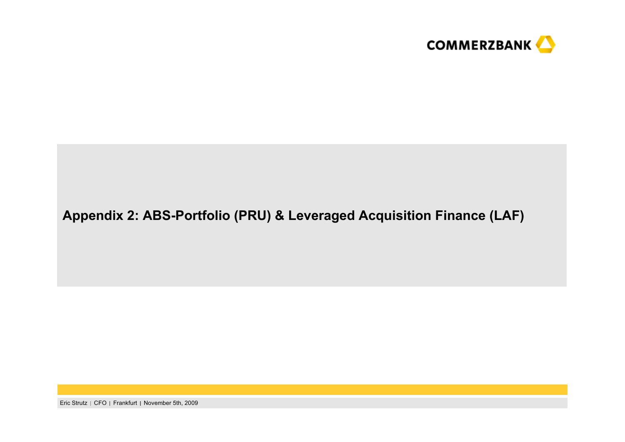

## **Appendix 2: ABS-Portfolio (PRU) & Leveraged Acquisition Finance (LAF)**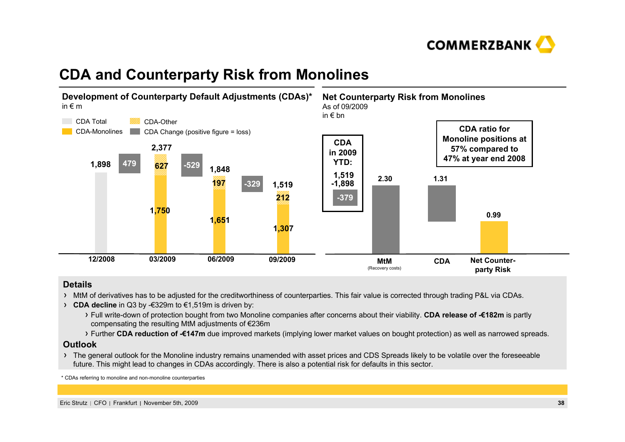

## **CDA and Counterparty Risk from Monolines**



#### **Details**

- $\rightarrow$  MtM of derivatives has to be adiusted for the creditworthiness of counterparties. This fair value is corrected through trading P&L via CDAs.
- **CDA decline** in Q3 by -€329m to €1,519m is driven by:
	- Full write-down of protection bought from two Monoline companies after concerns about their viability. **CDA release of -€182m** is partly compensating the resulting MtM adjustments of €236m
	- Further **CDA reduction of -€147m** due improved markets (implying lower market values on bought protection) as well as narrowed spreads.

#### **Outlook**

The general outlook for the Monoline industry remains unamended with asset prices and CDS Spreads likely to be volatile over the foreseeable future. This might lead to changes in CDAs accordingly. There is also a potential risk for defaults in this sector.

\* CDAs referring to monoline and non-monoline counterparties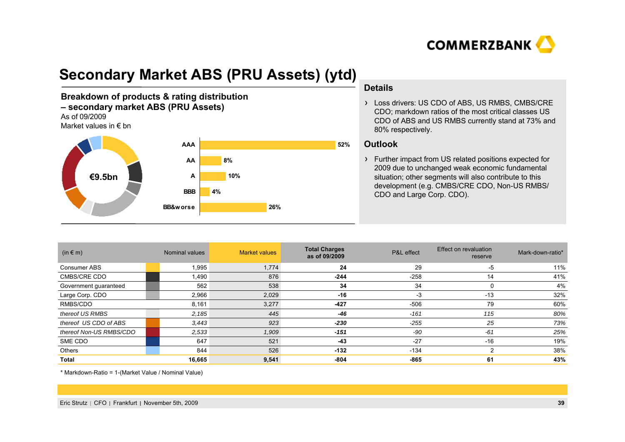

## **Secondary Market ABS (PRU Assets) (ytd)**

**Breakdown of products & rating distribution – secondary market ABS (PRU Assets)** As of 09/2009

### Market values in € bn



#### **Details**

> Loss drivers: US CDO of ABS, US RMBS, CMBS/CRE CDO; markdown ratios of the most critical classes US CDO of ABS and US RMBS currently stand at 73% and 80% respectively.

#### **Outlook**

Further impact from US related positions expected for 2009 due to unchanged weak economic fundamental situation; other segments will also contribute to this development (e.g. CMBS/CRE CDO, Non-US RMBS/ CDO and Large Corp. CDO).

| $(in \in m)$            | Nominal values | <b>Market values</b> | <b>Total Charges</b><br>as of 09/2009 | P&L effect | Effect on revaluation<br>reserve | Mark-down-ratio* |
|-------------------------|----------------|----------------------|---------------------------------------|------------|----------------------------------|------------------|
| Consumer ABS            | 1,995          | 1,774                | 24                                    | 29         | -5                               | 11%              |
| <b>CMBS/CRE CDO</b>     | 1,490          | 876                  | $-244$                                | $-258$     | 14                               | 41%              |
| Government guaranteed   | 562            | 538                  | 34                                    | 34         | $\Omega$                         | 4%               |
| Large Corp. CDO         | 2,966          | 2,029                | $-16$                                 | -3         | $-13$                            | 32%              |
| RMBS/CDO                | 8,161          | 3,277                | $-427$                                | -506       | 79                               | 60%              |
| thereof US RMBS         | 2,185          | 445                  | $-46$                                 | $-161$     | 115                              | 80%              |
| thereof US CDO of ABS   | 3,443          | 923                  | $-230$                                | $-255$     | 25                               | 73%              |
| thereof Non-US RMBS/CDO | 2,533          | 1,909                | $-151$                                | -90        | $-61$                            | 25%              |
| SME CDO                 | 647            | 521                  | $-43$                                 | $-27$      | $-16$                            | 19%              |
| Others                  | 844            | 526                  | $-132$                                | $-134$     | ົ                                | 38%              |
| <b>Total</b>            | 16,665         | 9,541                | $-804$                                | $-865$     | 61                               | 43%              |

\* Markdown-Ratio = 1-(Market Value / Nominal Value)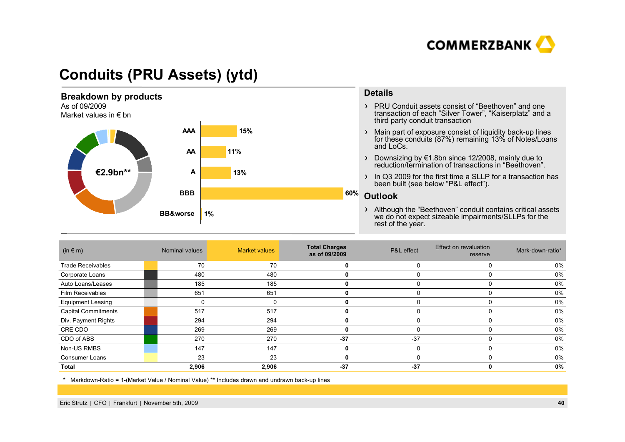

## **Conduits (PRU Assets) (ytd)**



- PRU Conduit assets consist of "Beethoven" and one transaction of each "Silver Tower", "Kaiserplatz" and a third party conduit transaction
- Main part of exposure consist of liquidity back-up lines for these conduits (87%) remaining 13% of Notes/Loans
- Downsizing by €1.8bn since 12/2008, mainly due to reduction/termination of transactions in "Beethoven".
- In Q3 2009 for the first time a SLLP for a transaction has been built (see below "P&L effect").
- Although the "Beethoven" conduit contains critical assets we do not expect sizeable impairments/SLLPs for the

| $(in \in m)$               | Nominal values | <b>Market values</b> | <b>Total Charges</b><br>as of 09/2009 | P&L effect | Effect on revaluation<br>reserve | Mark-down-ratio* |
|----------------------------|----------------|----------------------|---------------------------------------|------------|----------------------------------|------------------|
| <b>Trade Receivables</b>   | 70             | 70                   | 0                                     |            | $\Omega$                         | 0%               |
| Corporate Loans            | 480            | 480                  | U                                     |            |                                  | 0%               |
| Auto Loans/Leases          | 185            | 185                  | 0                                     |            | 0                                | 0%               |
| Film Receivables           | 651            | 651                  | 0                                     |            | $\Omega$                         | 0%               |
| <b>Equipment Leasing</b>   |                | 0                    |                                       |            | 0                                | 0%               |
| <b>Capital Commitments</b> | 517            | 517                  | 0                                     |            | 0                                | 0%               |
| Div. Payment Rights        | 294            | 294                  | 0                                     |            | 0                                | 0%               |
| CRE CDO                    | 269            | 269                  | 0                                     |            | 0                                | 0%               |
| CDO of ABS                 | 270            | 270                  | $-37$                                 | $-37$      | $\Omega$                         | 0%               |
| Non-US RMBS                | 147            | 147                  | 0                                     |            | 0                                | 0%               |
| Consumer Loans             | 23             | 23                   | 0                                     |            | 0                                | 0%               |
| Total                      | 2,906          | 2,906                | $-37$                                 | $-37$      | ŋ                                | 0%               |

\* Markdown-Ratio = 1-(Market Value / Nominal Value) \*\* Includes drawn and undrawn back-up lines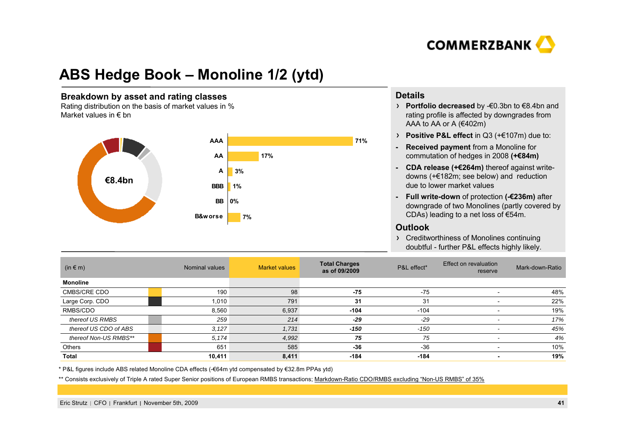

## **ABS Hedge Book – Monoline 1/2 (ytd)**

#### **Breakdown by asset and rating classes**

Rating distribution on the basis of market values in % Market values in  $\epsilon$  bn



#### **Details**

- **Portfolio decreased** by -€0.3bn to €8.4bn and rating profile is affected by downgrades from AAA to AA or A (€402m)
- **Positive P&L effect** in Q3 (+€107m) due to:
- **- Received payment** from a Monoline for commutation of hedges in 2008 **(+€84m)**
- **- CDA release (+€264m)** thereof against writedowns (+€182m; see below) and reduction due to lower market values
- **- Full write-down** of protection **(-€236m)** after downgrade of two Monolines (partly covered by CDAs) leading to a net loss of €54m.

#### **Outlook**

Creditworthiness of Monolines continuing doubtful - further P&L effects highly likely.

| (in $\in$ m)          | Nominal values | <b>Market values</b> | <b>Total Charges</b><br>as of 09/2009 | P&L effect* | Effect on revaluation<br>reserve | Mark-down-Ratio |
|-----------------------|----------------|----------------------|---------------------------------------|-------------|----------------------------------|-----------------|
| <b>Monoline</b>       |                |                      |                                       |             |                                  |                 |
| CMBS/CRE CDO          | 190            | 98                   | $-75$                                 | $-75$       |                                  | 48%             |
| Large Corp. CDO       | 1.010          | 791                  | 31                                    | 31          |                                  | 22%             |
| RMBS/CDO              | 8,560          | 6,937                | $-104$                                | $-104$      |                                  | 19%             |
| thereof US RMBS       | 259            | 214                  | $-29$                                 | $-29$       |                                  | 17%             |
| thereof US CDO of ABS | 3,127          | 1,731                | $-150$                                | $-150$      |                                  | 45%             |
| thereof Non-US RMBS** | 5,174          | 4,992                | 75                                    | 75          |                                  | 4%              |
| Others                | 651            | 585                  | $-36$                                 | $-36$       |                                  | 10%             |
| Total                 | 10,411         | 8,411                | $-184$                                | $-184$      |                                  | 19%             |

\* P&L figures include ABS related Monoline CDA effects (-€64m ytd compensated by €32.8m PPAs ytd)

\*\* Consists exclusively of Triple A rated Super Senior positions of European RMBS transactions; Markdown-Ratio CDO/RMBS excluding "Non-US RMBS" of 35%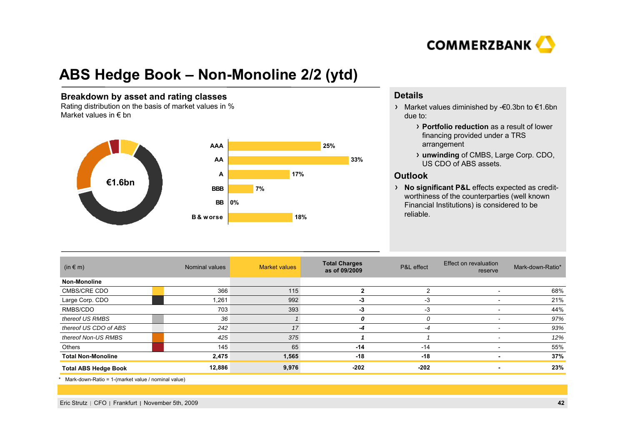

## **ABS Hedge Book – Non-Monoline 2/2 (ytd)**

#### **Breakdown by asset and rating classes**

Rating distribution on the basis of market values in % Market values in  $\epsilon$  bn



### **Details**

- Market values diminished by -€0.3bn to €1.6bn due to:
	- **Portfolio reduction** as a result of lower financing provided under a TRS arrangement
	- **unwinding** of CMBS, Large Corp. CDO, US CDO of ABS assets.

### **Outlook**

**No significant P&L** effects expected as creditworthiness of the counterparties (well known Financial Institutions) is considered to be reliable.

| $(in \in m)$                | Nominal values | <b>Market values</b> | <b>Total Charges</b><br>as of 09/2009 | P&L effect | <b>Effect on revaluation</b><br>reserve | Mark-down-Ratio* |
|-----------------------------|----------------|----------------------|---------------------------------------|------------|-----------------------------------------|------------------|
| Non-Monoline                |                |                      |                                       |            |                                         |                  |
| CMBS/CRE CDO                | 366            | 115                  | 2                                     | 2          |                                         | 68%              |
| Large Corp. CDO             | 1,261          | 992                  | -3                                    | $-3$       |                                         | 21%              |
| RMBS/CDO                    | 703            | 393                  | -3                                    | $-3$       |                                         | 44%              |
| thereof US RMBS             | 36             |                      |                                       | 0          |                                         | 97%              |
| thereof US CDO of ABS       | 242            | 17                   | -4                                    | $-4$       |                                         | 93%              |
| thereof Non-US RMBS         | 425            | 375                  |                                       |            |                                         | 12%              |
| Others                      | 145            | 65                   | $-14$                                 | $-14$      |                                         | 55%              |
| <b>Total Non-Monoline</b>   | 2,475          | 1,565                | -18                                   | $-18$      |                                         | 37%              |
| <b>Total ABS Hedge Book</b> | 12,886         | 9,976                | $-202$                                | $-202$     |                                         | 23%              |

\* Mark-down-Ratio = 1-(market value / nominal value)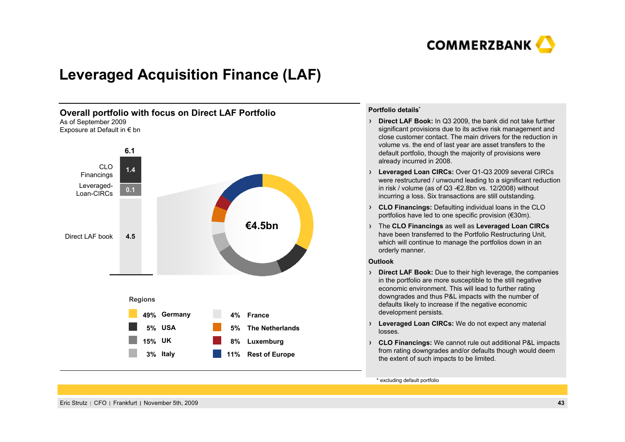

## **Leveraged Acquisition Finance (LAF)**



#### **Portfolio details\***

- **Direct LAF Book:** In Q3 2009, the bank did not take further significant provisions due to its active risk management and close customer contact. The main drivers for the reduction in volume vs. the end of last year are asset transfers to the default portfolio, though the majority of provisions were already incurred in 2008.
- **Leveraged Loan CIRCs:** Over Q1-Q3 2009 several CIRCs were restructured / unwound leading to a significant reduction in risk / volume (as of Q3 -€2.8bn vs. 12/2008) without incurring a loss. Six transactions are still outstanding.
- **CLO Financings:** Defaulting individual loans in the CLO portfolios have led to one specific provision (€30m).
- The **CLO Financings** as well as **Leveraged Loan CIRCs** have been transferred to the Portfolio Restructuring Unit, which will continue to manage the portfolios down in an orderly manner.

#### **Outlook**

- **Direct LAF Book:** Due to their high leverage, the companies in the portfolio are more susceptible to the still negative economic environment. This will lead to further rating downgrades and thus P&L impacts with the number of defaults likely to increase if the negative economic development persists.
- **Leveraged Loan CIRCs:** We do not expect any material losses.
- **CLO Financings:** We cannot rule out additional P&L impacts from rating downgrades and/or defaults though would deem the extent of such impacts to be limited.

\* excluding default portfolio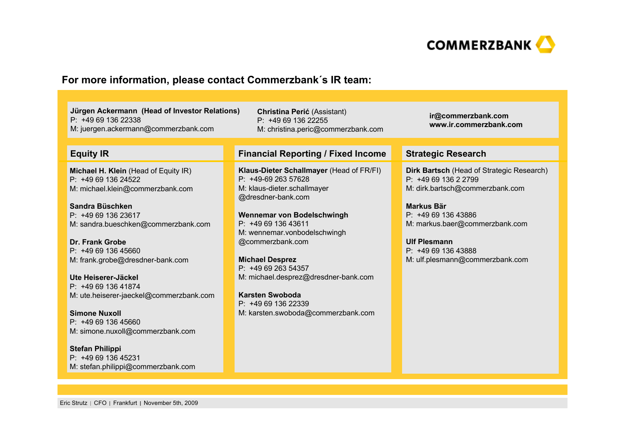

### **For more information, please contact Commerzbank´s IR team:**

**Jürgen Ackermann (Head of Investor Relations)** P: +49 69 136 22338M: juergen.ackermann@commerzbank.com

**Michael H. Klein** (Head of Equity IR) P: +49 69 136 24522M: michael.klein@commerzbank.com

**Sandra Büschken**P: +49 69 136 23617M: sandra.bueschken@commerzbank.com

**Dr. Frank Grobe**P: +49 69 136 45660M: frank.grobe@dresdner-bank.com

**Ute Heiserer-Jäckel**P: +49 69 136 41874M: ute.heiserer-jaeckel@commerzbank.com

**Simone Nuxoll**P: +49 69 136 45660M: simone.nuxoll@commerzbank.com

**Stefan Philippi** P: +49 69 136 45231M: stefan.philippi@commerzbank.com

**Christina Perić** (Assistant) P: +49 69 136 22255 M: christina.peric@commerzbank.com

#### **Equity IR Financial Reporting / Fixed Income Strategic Research**

**Klaus-Dieter Schallmayer** (Head of FR/FI) P: +49-69 263 57628M: klaus-dieter.schallmayer @dresdner-bank.com

**Wennemar von Bodelschwingh**  $P: +496913643611$ M: wennemar.vonbodelschwingh @commerzbank.com

**Michael Desprez** P: +49 69 263 54357M: michael.desprez@dresdner-bank.com

**Karsten Swoboda**P: +49 69 136 22339M: karsten.swoboda@commerzbank.com **ir@commerzbank.com www.ir.commerzbank.com**

**Dirk Bartsch** (Head of Strategic Research) P: +49 69 136 2 2799 M: dirk.bartsch@commerzbank.com

**Markus Bär**P: +49 69 136 43886 M: markus.baer@commerzbank.com

**Ulf Plesmann**P: +49 69 136 43888 M: ulf.plesmann@commerzbank.com